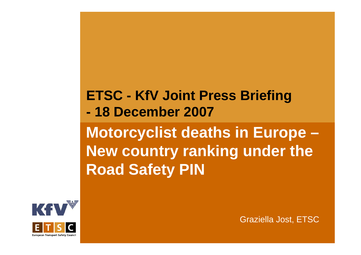**ETSC - KfV Joint Press Briefing M t li t d th i E Motorcyclist deaths in Europe – - 18 December 2007 Ne cou t y <sup>a</sup> g <sup>u</sup> de t <sup>e</sup> w country ranking under the Road Safety PIN**



Graziella Jost, ETSC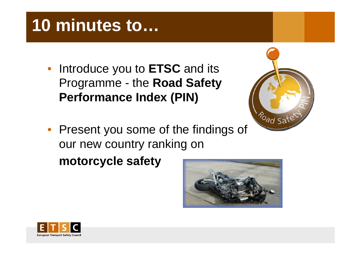# **10 minutes to…**

• Introduce you to **ETSC** and its Programme - the **Road Safety Performance Index (PIN) Index**



• Present you some of the findings of our new country ranking on **motorcycle sa fety**

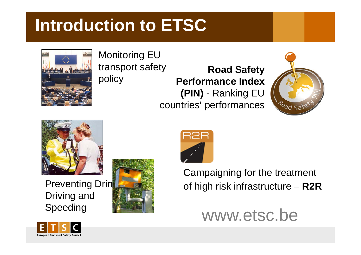## **Introduction to ETSC**



Monitoring EU

transport safety **Road Safety** policy **Performance Index ( ) PIN** - Rankin g EU countries' performances





**Preventing Drin** Driving and Speeding





Campaigning for the treatment of high risk infrastructure **R2R** –



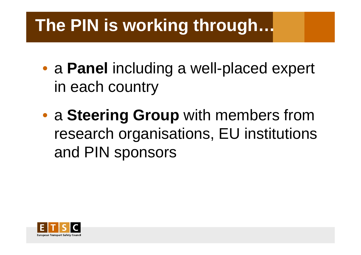## **The PIN is working through…**

- $\bullet$ • a Panel including a well-placed expert in each country
- <sup>a</sup>**Steering Group** with members from research organisations, EU institutions and PIN sponsors

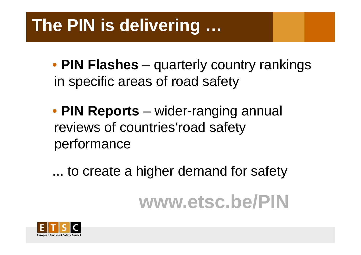## The PIN is delivering ...

- PIN Flashes quarterly country rankings in specific areas of road safety
- PIN Reports wider-ranging annual reviews of countries' road safety performance
- ... to create a higher demand for safety

# www.etsc.be/PIN

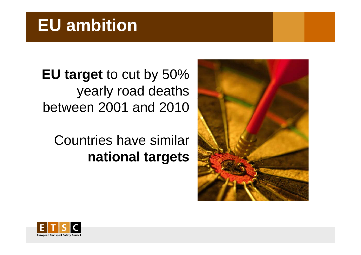### **EU ambition**

**EU target** to cut by 50% yearly road deaths between 2001 and 2010

Countries have similar **national targets**



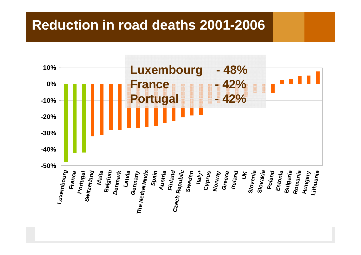#### **Reduction in road deaths 2001-2006**

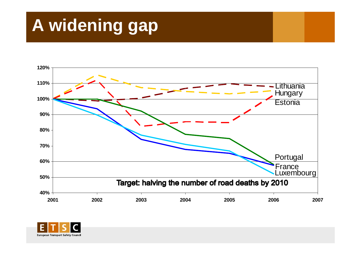# **A widening gap**



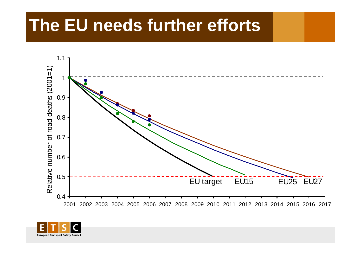### The EU needs further efforts



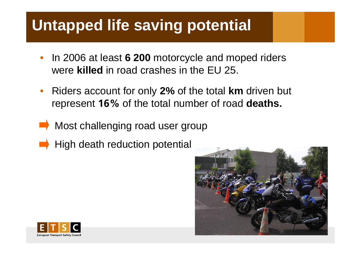### **Untapped life saving potential**

- •• In 2006 at least 6 200 motorcycle and moped riders were **killed** in road crashes in the EU 25.
- $\bullet$  Riders account for only **2%** of the total **km** driven but represent **16%** of the total number of road **deaths.**
- Most challenging road user group
- High death reduction potential



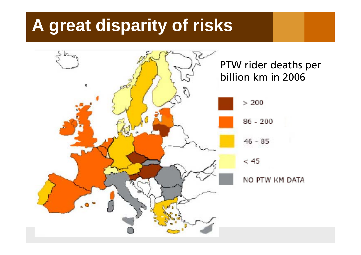### **A great disparity of risks**

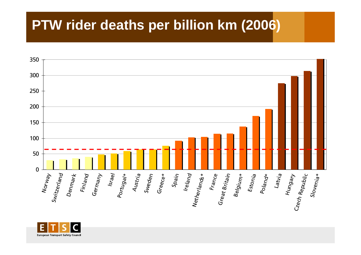### PTW rider deaths per billion km (2006)



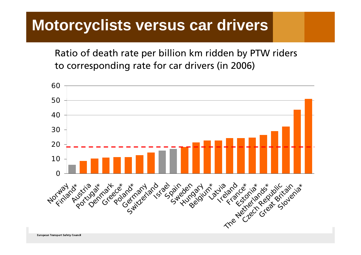### **Motorcyclists versus car drivers**

Ratio of death rate per billion km ridden by PTW riders to corresponding rate for car drivers (in 2006)

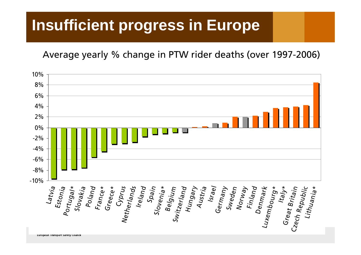### **Insufficient progress in Europe**

Average yearly % change in PTW rider deaths (over 1997-2006)

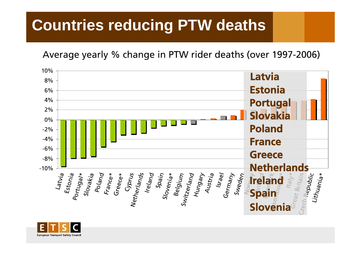### **Countries reducing PTW deaths**

Average yearly % change in PTW rider deaths (over 1997-2006)



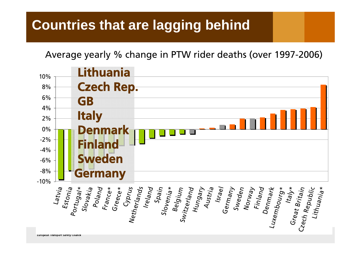### **Countries that are lagging behind**

Average yearly % change in PTW rider deaths (over 1997-2006)

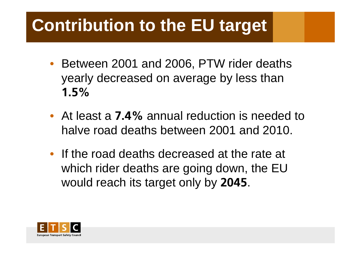# **Contribution to the EU target**

- Between 2001 and 2006, PTW rider deaths yearly decreased on average by less than **1.5%**
- At least a **7.4%** annual reduction is needed to halve road deaths between 2001 and 2010.
- If the road deaths decreased at the rate at which rider deaths are going down, the EU would reach its target only by **2045**.

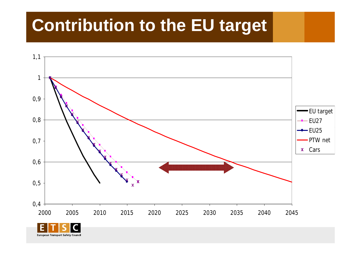# **Contribution to the EU target**



**European Transport Safety Counci**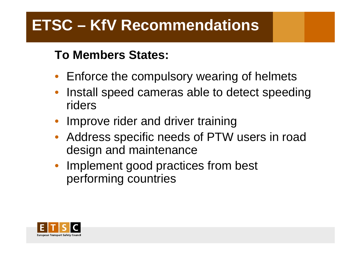### **ETSC – KfV Recommendations**

#### **To Members States:**

- Enforce the compulsory wearing of helmets
- Install speed cameras able to detect speeding riders
- Improve rider and driver training
- Address specific needs of PTW users in road desi gn and maintenance
- Implement good practices from best performing countries

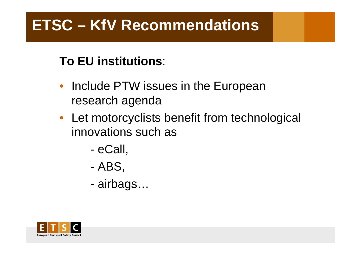### **ETSC – KfV Recommendations**

#### **To EU institutions**:

- Include PTW issues in the European research agenda
- Let motorcyclists benefit from technological innovations such as
	- eCall,
	- ABS,
	- airbags…

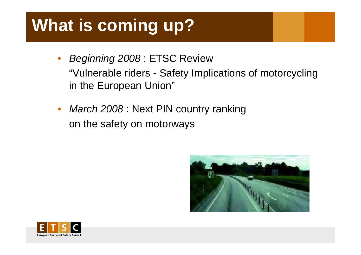# **What is coming up?**

- • *Beginning 2008* : ETSC Review "Vulnerable riders - Safety Implications of motorcycling in the European Union"
- • *March 2008* : Next PIN country ranking on the safety on motorways



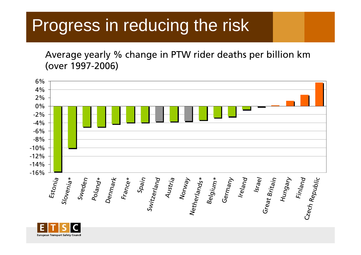### Progress in reducing the risk

Average yearly % change in PTW rider deaths per billion km (over 1997-2006)